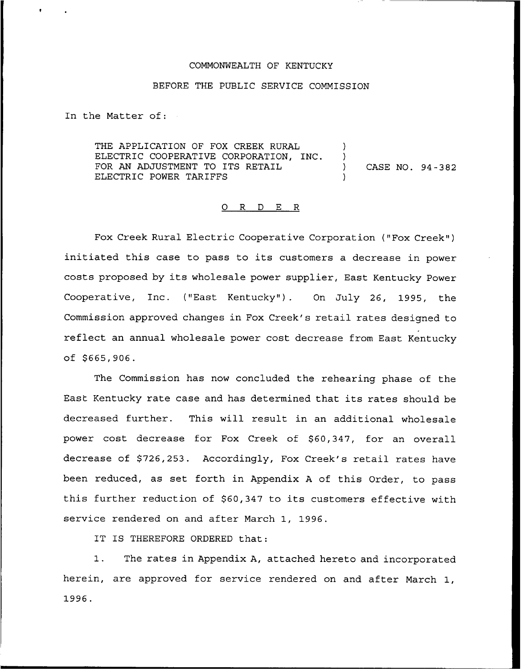#### COMMONWEALTH OF KENTUCKY

#### BEFORE THE PUBLIC SERVICE COMMISSION

In the Matter of:

THE APPLICATION OF FOX CREEK RURAL ELECTRIC COOPERATIVE CORPORATION, INC. FOR AN ADJUSTMENT TO ITS RETAIL  $(1, 94 - 382)$ ELECTRIC POWER TARIFFS

#### 0 R <sup>D</sup> E R

Fox Creek Rural Electric Cooperative Corporation ("Fox Creek" ) initiated this case to pass to its customers <sup>a</sup> decrease in power costs proposed by its wholesale power supplier, East Kentucky Power Cooperative, Inc. ("East Kentucky" ). On July 26, 1995, the Commission approved changes in Fox Creek's retail rates designed to reflect an annual wholesale power cost decrease from East Kentucky  $of $665,906.$ 

The Commission has now concluded the rehearing phase of the East Kentucky rate case and has determined that its rates should be decreased further. This will result in an additional wholesale power cost decrease for Fox Creek of \$60,347, for an overall decrease of \$726,253. Accordingly, Fox Creek's retail rates have been reduced, as set forth in Appendix <sup>A</sup> of this Order, to pass this further reduction of \$60,347 to its customers effective with service rendered on and after March 1, 1996.

IT IS THEREFORE ORDERED that:

1. The rates in Appendix A, attached hereto and incorporated herein, are approved for service rendered on and after March 1, 1996.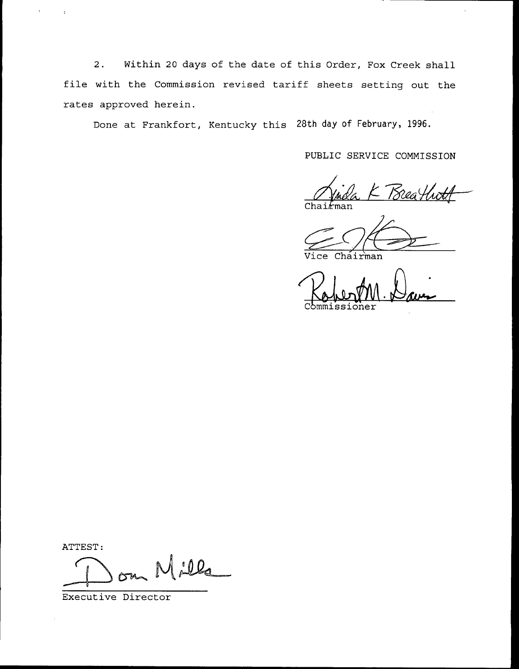2. Within 20 days of the date of this Order, Fox Creek shall file with the Commission revised tariff sheets setting out the rates approved herein.

Done at Frankfort, Kentucky this 28th day of February, 1996.

PUBLIC SERVICE COMMISSION

. .

K Breathi Chai*l*ma

Vice Chairman

Commissioner

ATTEST:

 $\overline{a}$ 

Jela

Executive Director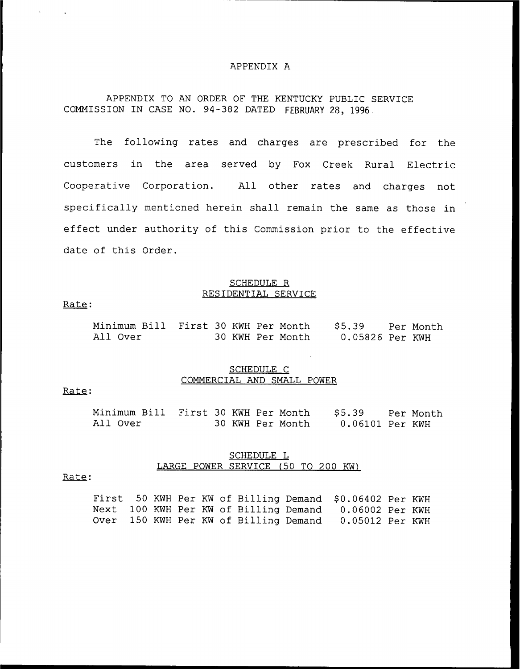### APPENDIX A

# APPENDIX TO AN ORDER OF THE KENTUCKY PUBLIC SERVICE COMMISSION IN CASE NO. 94-382 DATED FEBRUARY 28, 1996,

The following rates and charges are prescribed for the customers in the area served by Fox Creek Rural Electric Cooperative Corporation. All other rates and charges not specifically mentioned herein shall remain the same as those in effect under authority of this Commission prior to the effective date of this Order.

### SCHEDULE R RESIDENTIAL SERVICE

#### Rate:

 $\sim 10$ 

| Minimum Bill First 30 KWH Per Month |  |  |                  | \$5.39          | - Per Month |
|-------------------------------------|--|--|------------------|-----------------|-------------|
| All Over                            |  |  | 30 KWH Per Month | 0.05826 Per KWH |             |

### SCHEDULE C COMMERCIAL AND SMALL POWER

## Rate:

| Minimum Bill First 30 KWH Per Month |  |  |                  | S5.39           | Per Month |
|-------------------------------------|--|--|------------------|-----------------|-----------|
| All Over                            |  |  | 30 KWH Per Month | 0.06101 Per KWH |           |

### SCHEDULE L LARGE POWER SERVICE (50 TO 200 KW)

#### Rate:

|  |  |  |  | First 50 KWH Per KW of Billing Demand \$0.06402 Per KWH |  |
|--|--|--|--|---------------------------------------------------------|--|
|  |  |  |  | Next 100 KWH Per KW of Billing Demand 0.06002 Per KWH   |  |
|  |  |  |  | Over 150 KWH Per KW of Billing Demand 0.05012 Per KWH   |  |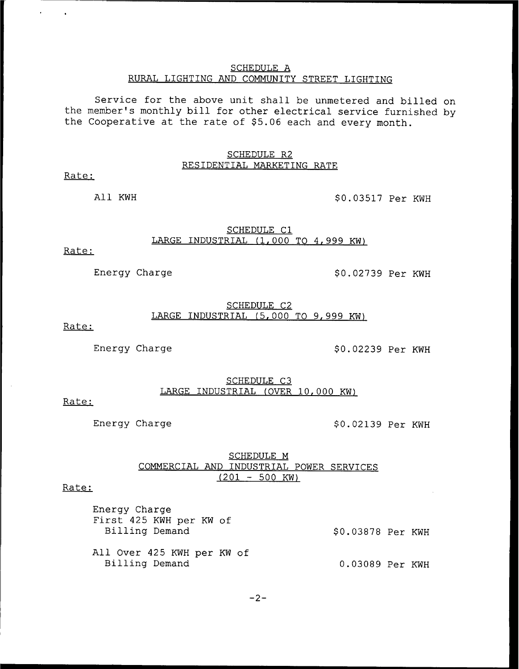## SCHEDULE A RURAL LIGHTING AND COMMUNITY STREET LIGHTING

Service for the above unit shall be unmetered and billed on the member's monthly bill for other electrical service furnished by the Cooperative at the rate of \$5.06 each and every month.

## SCHEDULE R2 RESIDENTIAL MARKETING RATE

Rate:

 $\ddot{\phantom{1}}$ 

All KWH  $$0.03517$  Per KWH

### SCHEDULE Cl LARGE INDUSTRIAL (1,000 TO 4,999 KW)

Rate:

Energy Charge  $$0.02739$  Per KWH

# SCHEDULE C2 LARGE INDUSTRIAL (5,000 TO 9,999 KW)

Rate:

Energy Charge  $$0.02239$  Per KWH

SCHEDULE C3 LARGE INDUSTRIAL (OVER 10, 000 KW)

## Rate:

Energy Charge  $$0.02139$  Per KWH

SCHEDULE M COMMERCIAL AND INDUSTRIAL POWER SERVICES  $(201 - 500 \text{ KW})$ 

Rate:

| Energy Charge<br>First 425 KWH per KW of |                   |  |
|------------------------------------------|-------------------|--|
| Billing Demand                           | \$0.03878 Per KWH |  |
|                                          |                   |  |
| All Over 425 KWH per KW of               |                   |  |
| Billing Demand                           | 0.03089 Per KWH   |  |